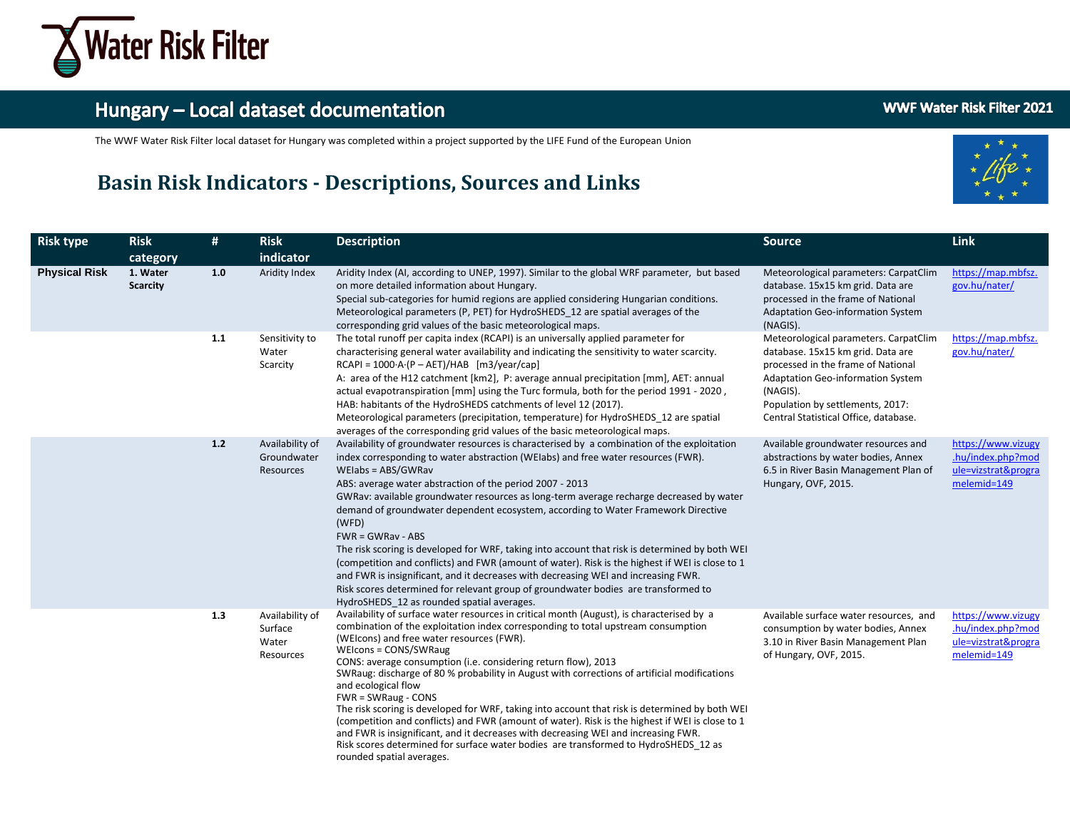

The WWF Water Risk Filter local dataset for Hungary was completed within a project supported by the LIFE Fund of the European Union

#### **Basin Risk Indicators - Descriptions, Sources and Links**





| <b>Risk type</b>     | <b>Risk</b><br>category     | #   | <b>Risk</b><br>indicator                         | <b>Description</b>                                                                                                                                                                                                                                                                                                                                                                                                                                                                                                                                                                                                                                                                                                                                                                                                                                                                                                | <b>Source</b>                                                                                                                                                                                                                                  | Link                                                                          |
|----------------------|-----------------------------|-----|--------------------------------------------------|-------------------------------------------------------------------------------------------------------------------------------------------------------------------------------------------------------------------------------------------------------------------------------------------------------------------------------------------------------------------------------------------------------------------------------------------------------------------------------------------------------------------------------------------------------------------------------------------------------------------------------------------------------------------------------------------------------------------------------------------------------------------------------------------------------------------------------------------------------------------------------------------------------------------|------------------------------------------------------------------------------------------------------------------------------------------------------------------------------------------------------------------------------------------------|-------------------------------------------------------------------------------|
| <b>Physical Risk</b> | 1. Water<br><b>Scarcity</b> | 1.0 | Aridity Index                                    | Aridity Index (AI, according to UNEP, 1997). Similar to the global WRF parameter, but based<br>on more detailed information about Hungary.<br>Special sub-categories for humid regions are applied considering Hungarian conditions.<br>Meteorological parameters (P, PET) for HydroSHEDS 12 are spatial averages of the<br>corresponding grid values of the basic meteorological maps.                                                                                                                                                                                                                                                                                                                                                                                                                                                                                                                           | Meteorological parameters: CarpatClim<br>database. 15x15 km grid. Data are<br>processed in the frame of National<br>Adaptation Geo-information System<br>(NAGIS).                                                                              | https://map.mbfsz.<br>gov.hu/nater/                                           |
|                      |                             | 1.1 | Sensitivity to<br>Water<br>Scarcity              | The total runoff per capita index (RCAPI) is an universally applied parameter for<br>characterising general water availability and indicating the sensitivity to water scarcity.<br>$RCAPI = 1000 \cdot A \cdot (P - AET)/HAB$ [m3/year/cap]<br>A: area of the H12 catchment [km2], P: average annual precipitation [mm], AET: annual<br>actual evapotranspiration [mm] using the Turc formula, both for the period 1991 - 2020,<br>HAB: habitants of the HydroSHEDS catchments of level 12 (2017).<br>Meteorological parameters (precipitation, temperature) for HydroSHEDS_12 are spatial<br>averages of the corresponding grid values of the basic meteorological maps.                                                                                                                                                                                                                                        | Meteorological parameters. CarpatClim<br>database. 15x15 km grid. Data are<br>processed in the frame of National<br>Adaptation Geo-information System<br>(NAGIS).<br>Population by settlements, 2017:<br>Central Statistical Office, database. | https://map.mbfsz.<br>gov.hu/nater/                                           |
|                      |                             | 1.2 | Availability of<br>Groundwater<br>Resources      | Availability of groundwater resources is characterised by a combination of the exploitation<br>index corresponding to water abstraction (WEIabs) and free water resources (FWR).<br>WEIabs = ABS/GWRav<br>ABS: average water abstraction of the period 2007 - 2013<br>GWRav: available groundwater resources as long-term average recharge decreased by water<br>demand of groundwater dependent ecosystem, according to Water Framework Directive<br>(WFD)<br>$FWR = GWRav - ABS$<br>The risk scoring is developed for WRF, taking into account that risk is determined by both WEI<br>(competition and conflicts) and FWR (amount of water). Risk is the highest if WEI is close to 1<br>and FWR is insignificant, and it decreases with decreasing WEI and increasing FWR.<br>Risk scores determined for relevant group of groundwater bodies are transformed to<br>HydroSHEDS 12 as rounded spatial averages. | Available groundwater resources and<br>abstractions by water bodies, Annex<br>6.5 in River Basin Management Plan of<br>Hungary, OVF, 2015.                                                                                                     | https://www.vizugy<br>.hu/index.php?mod<br>ule=vizstrat&progra<br>melemid=149 |
|                      |                             | 1.3 | Availability of<br>Surface<br>Water<br>Resources | Availability of surface water resources in critical month (August), is characterised by a<br>combination of the exploitation index corresponding to total upstream consumption<br>(WEIcons) and free water resources (FWR).<br>WEIcons = CONS/SWRaug<br>CONS: average consumption (i.e. considering return flow), 2013<br>SWRaug: discharge of 80 % probability in August with corrections of artificial modifications<br>and ecological flow<br>FWR = SWRaug - CONS<br>The risk scoring is developed for WRF, taking into account that risk is determined by both WEI<br>(competition and conflicts) and FWR (amount of water). Risk is the highest if WEI is close to 1<br>and FWR is insignificant, and it decreases with decreasing WEI and increasing FWR.<br>Risk scores determined for surface water bodies are transformed to HydroSHEDS 12 as<br>rounded spatial averages.                               | Available surface water resources, and<br>consumption by water bodies, Annex<br>3.10 in River Basin Management Plan<br>of Hungary, OVF, 2015.                                                                                                  | https://www.vizugy<br>.hu/index.php?mod<br>ule=vizstrat&progra<br>melemid=149 |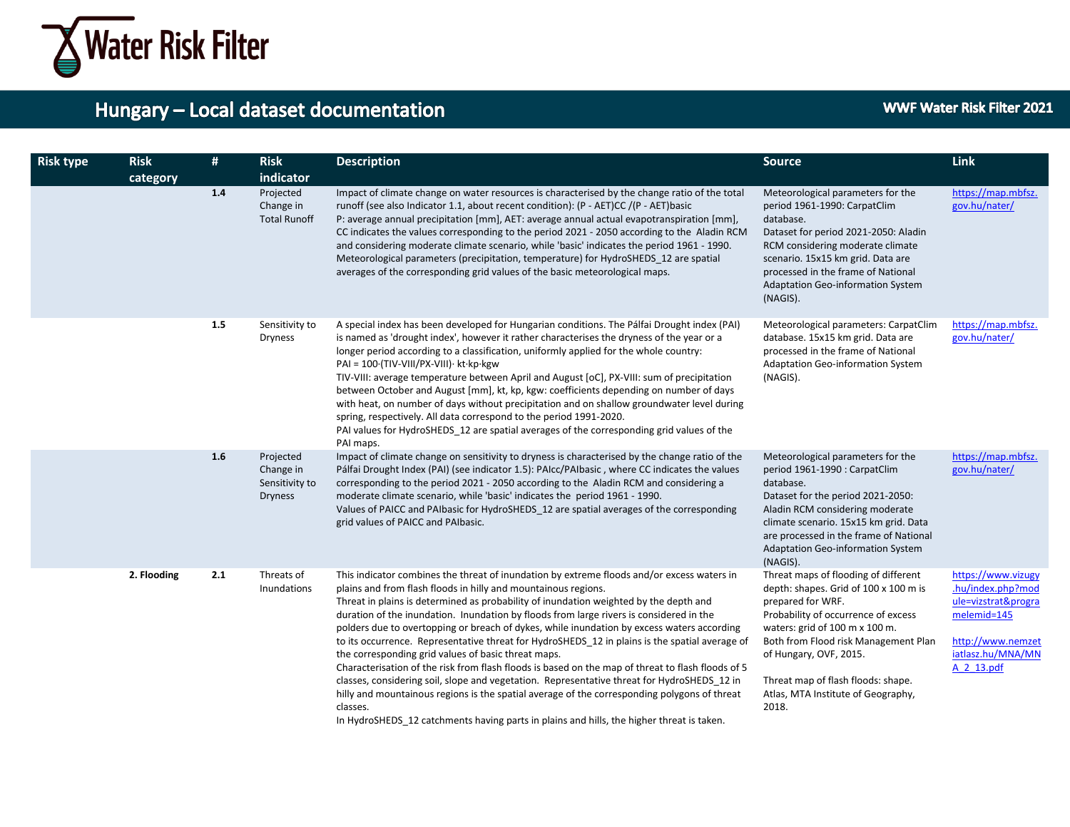

| <b>Risk type</b> | <b>Risk</b><br>category | #   | <b>Risk</b><br>indicator                                   | <b>Description</b>                                                                                                                                                                                                                                                                                                                                                                                                                                                                                                                                                                                                                                                                                                                                                                                                                                                                                                                                                                                                   | <b>Source</b>                                                                                                                                                                                                                                                                                                                      | Link                                                                                                                                  |
|------------------|-------------------------|-----|------------------------------------------------------------|----------------------------------------------------------------------------------------------------------------------------------------------------------------------------------------------------------------------------------------------------------------------------------------------------------------------------------------------------------------------------------------------------------------------------------------------------------------------------------------------------------------------------------------------------------------------------------------------------------------------------------------------------------------------------------------------------------------------------------------------------------------------------------------------------------------------------------------------------------------------------------------------------------------------------------------------------------------------------------------------------------------------|------------------------------------------------------------------------------------------------------------------------------------------------------------------------------------------------------------------------------------------------------------------------------------------------------------------------------------|---------------------------------------------------------------------------------------------------------------------------------------|
|                  |                         | 1.4 | Projected<br>Change in<br><b>Total Runoff</b>              | Impact of climate change on water resources is characterised by the change ratio of the total<br>runoff (see also Indicator 1.1, about recent condition): (P - AET)CC /(P - AET)basic<br>P: average annual precipitation [mm], AET: average annual actual evapotranspiration [mm],<br>CC indicates the values corresponding to the period 2021 - 2050 according to the Aladin RCM<br>and considering moderate climate scenario, while 'basic' indicates the period 1961 - 1990.<br>Meteorological parameters (precipitation, temperature) for HydroSHEDS 12 are spatial<br>averages of the corresponding grid values of the basic meteorological maps.                                                                                                                                                                                                                                                                                                                                                               | Meteorological parameters for the<br>period 1961-1990: CarpatClim<br>database.<br>Dataset for period 2021-2050: Aladin<br>RCM considering moderate climate<br>scenario. 15x15 km grid. Data are<br>processed in the frame of National<br><b>Adaptation Geo-information System</b><br>(NAGIS).                                      | https://map.mbfsz.<br>gov.hu/nater/                                                                                                   |
|                  |                         | 1.5 | Sensitivity to<br><b>Dryness</b>                           | A special index has been developed for Hungarian conditions. The Pálfai Drought index (PAI)<br>is named as 'drought index', however it rather characterises the dryness of the year or a<br>longer period according to a classification, uniformly applied for the whole country:<br>$PAI = 100 \cdot (TIV-VIII/PX-VIII) \cdot kt \cdot kp \cdot kgw$<br>TIV-VIII: average temperature between April and August [oC], PX-VIII: sum of precipitation<br>between October and August [mm], kt, kp, kgw: coefficients depending on number of days<br>with heat, on number of days without precipitation and on shallow groundwater level during<br>spring, respectively. All data correspond to the period 1991-2020.<br>PAI values for HydroSHEDS 12 are spatial averages of the corresponding grid values of the<br>PAI maps.                                                                                                                                                                                          | Meteorological parameters: CarpatClim<br>database. 15x15 km grid. Data are<br>processed in the frame of National<br>Adaptation Geo-information System<br>(NAGIS).                                                                                                                                                                  | https://map.mbfsz.<br>gov.hu/nater/                                                                                                   |
|                  |                         | 1.6 | Projected<br>Change in<br>Sensitivity to<br><b>Dryness</b> | Impact of climate change on sensitivity to dryness is characterised by the change ratio of the<br>Pálfai Drought Index (PAI) (see indicator 1.5): PAIcc/PAIbasic, where CC indicates the values<br>corresponding to the period 2021 - 2050 according to the Aladin RCM and considering a<br>moderate climate scenario, while 'basic' indicates the period 1961 - 1990.<br>Values of PAICC and PAIbasic for HydroSHEDS 12 are spatial averages of the corresponding<br>grid values of PAICC and PAIbasic.                                                                                                                                                                                                                                                                                                                                                                                                                                                                                                             | Meteorological parameters for the<br>period 1961-1990 : CarpatClim<br>database.<br>Dataset for the period 2021-2050:<br>Aladin RCM considering moderate<br>climate scenario. 15x15 km grid. Data<br>are processed in the frame of National<br><b>Adaptation Geo-information System</b><br>(NAGIS).                                 | https://map.mbfsz.<br>gov.hu/nater/                                                                                                   |
|                  | 2. Flooding             | 2.1 | Threats of<br>Inundations                                  | This indicator combines the threat of inundation by extreme floods and/or excess waters in<br>plains and from flash floods in hilly and mountainous regions.<br>Threat in plains is determined as probability of inundation weighted by the depth and<br>duration of the inundation. Inundation by floods from large rivers is considered in the<br>polders due to overtopping or breach of dykes, while inundation by excess waters according<br>to its occurrence. Representative threat for HydroSHEDS 12 in plains is the spatial average of<br>the corresponding grid values of basic threat maps.<br>Characterisation of the risk from flash floods is based on the map of threat to flash floods of 5<br>classes, considering soil, slope and vegetation. Representative threat for HydroSHEDS_12 in<br>hilly and mountainous regions is the spatial average of the corresponding polygons of threat<br>classes.<br>In HydroSHEDS 12 catchments having parts in plains and hills, the higher threat is taken. | Threat maps of flooding of different<br>depth: shapes. Grid of 100 x 100 m is<br>prepared for WRF.<br>Probability of occurrence of excess<br>waters: grid of 100 m x 100 m.<br>Both from Flood risk Management Plan<br>of Hungary, OVF, 2015.<br>Threat map of flash floods: shape.<br>Atlas, MTA Institute of Geography,<br>2018. | https://www.vizugy<br>.hu/index.php?mod<br>ule=vizstrat&progra<br>melemid=145<br>http://www.nemzet<br>iatlasz.hu/MNA/MN<br>A 2 13.pdf |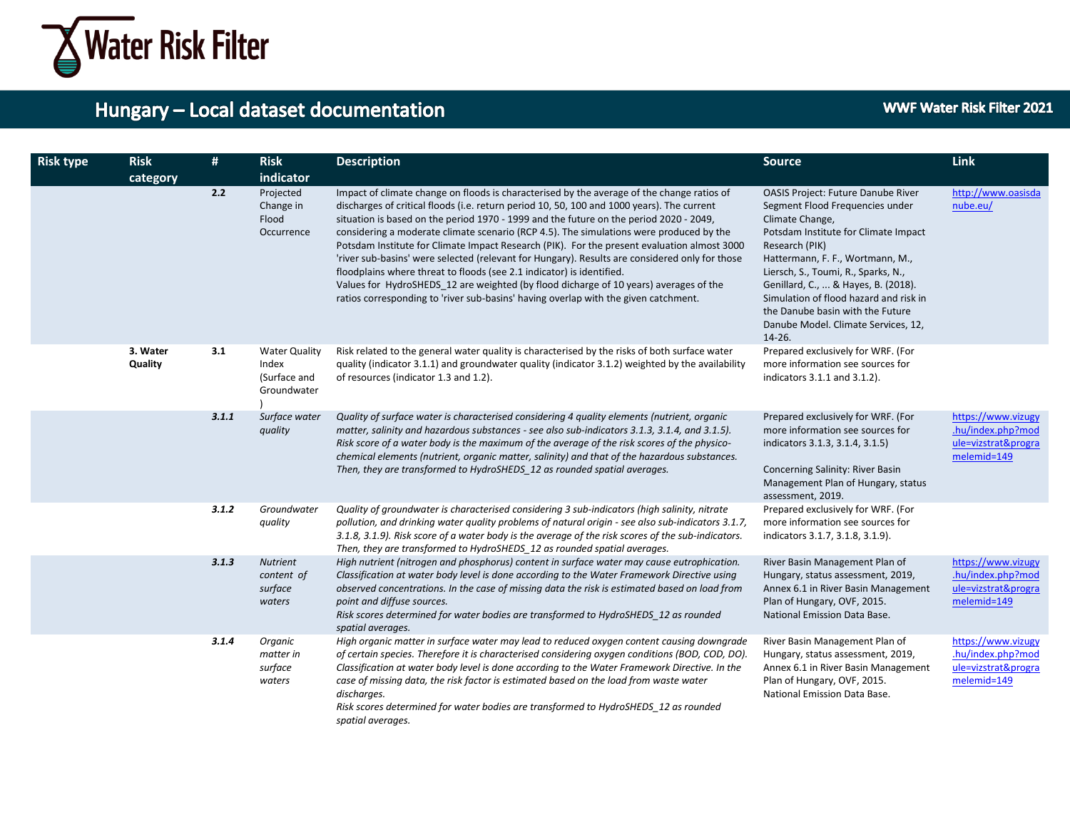

| <b>Risk type</b> | <b>Risk</b><br>category | #     | <b>Risk</b><br>indicator                                     | <b>Description</b>                                                                                                                                                                                                                                                                                                                                                                                                                                                                                                                                                                                                                                                                                                                                                                                                                      | <b>Source</b>                                                                                                                                                                                                                                                                                                                                                                                       | Link                                                                          |
|------------------|-------------------------|-------|--------------------------------------------------------------|-----------------------------------------------------------------------------------------------------------------------------------------------------------------------------------------------------------------------------------------------------------------------------------------------------------------------------------------------------------------------------------------------------------------------------------------------------------------------------------------------------------------------------------------------------------------------------------------------------------------------------------------------------------------------------------------------------------------------------------------------------------------------------------------------------------------------------------------|-----------------------------------------------------------------------------------------------------------------------------------------------------------------------------------------------------------------------------------------------------------------------------------------------------------------------------------------------------------------------------------------------------|-------------------------------------------------------------------------------|
|                  |                         | 2.2   | Projected<br>Change in<br>Flood<br>Occurrence                | Impact of climate change on floods is characterised by the average of the change ratios of<br>discharges of critical floods (i.e. return period 10, 50, 100 and 1000 years). The current<br>situation is based on the period 1970 - 1999 and the future on the period 2020 - 2049,<br>considering a moderate climate scenario (RCP 4.5). The simulations were produced by the<br>Potsdam Institute for Climate Impact Research (PIK). For the present evaluation almost 3000<br>'river sub-basins' were selected (relevant for Hungary). Results are considered only for those<br>floodplains where threat to floods (see 2.1 indicator) is identified.<br>Values for HydroSHEDS 12 are weighted (by flood dicharge of 10 years) averages of the<br>ratios corresponding to 'river sub-basins' having overlap with the given catchment. | OASIS Project: Future Danube River<br>Segment Flood Frequencies under<br>Climate Change,<br>Potsdam Institute for Climate Impact<br>Research (PIK)<br>Hattermann, F. F., Wortmann, M.,<br>Liersch, S., Toumi, R., Sparks, N.,<br>Genillard, C.,  & Hayes, B. (2018).<br>Simulation of flood hazard and risk in<br>the Danube basin with the Future<br>Danube Model. Climate Services, 12,<br>14-26. | http://www.oasisda<br>nube.eu/                                                |
|                  | 3. Water<br>Quality     | 3.1   | <b>Water Quality</b><br>Index<br>(Surface and<br>Groundwater | Risk related to the general water quality is characterised by the risks of both surface water<br>quality (indicator 3.1.1) and groundwater quality (indicator 3.1.2) weighted by the availability<br>of resources (indicator 1.3 and 1.2).                                                                                                                                                                                                                                                                                                                                                                                                                                                                                                                                                                                              | Prepared exclusively for WRF. (For<br>more information see sources for<br>indicators 3.1.1 and 3.1.2).                                                                                                                                                                                                                                                                                              |                                                                               |
|                  |                         | 3.1.1 | Surface water<br>quality                                     | Quality of surface water is characterised considering 4 quality elements (nutrient, organic<br>matter, salinity and hazardous substances - see also sub-indicators 3.1.3, 3.1.4, and 3.1.5).<br>Risk score of a water body is the maximum of the average of the risk scores of the physico-<br>chemical elements (nutrient, organic matter, salinity) and that of the hazardous substances.<br>Then, they are transformed to HydroSHEDS_12 as rounded spatial averages.                                                                                                                                                                                                                                                                                                                                                                 | Prepared exclusively for WRF. (For<br>more information see sources for<br>indicators 3.1.3, 3.1.4, 3.1.5)<br>Concerning Salinity: River Basin<br>Management Plan of Hungary, status<br>assessment, 2019.                                                                                                                                                                                            | https://www.vizugy<br>.hu/index.php?mod<br>ule=vizstrat&progra<br>melemid=149 |
|                  |                         | 3.1.2 | Groundwater<br>quality                                       | Quality of groundwater is characterised considering 3 sub-indicators (high salinity, nitrate<br>pollution, and drinking water quality problems of natural origin - see also sub-indicators 3.1.7,<br>3.1.8, 3.1.9). Risk score of a water body is the average of the risk scores of the sub-indicators.<br>Then, they are transformed to HydroSHEDS 12 as rounded spatial averages.                                                                                                                                                                                                                                                                                                                                                                                                                                                     | Prepared exclusively for WRF. (For<br>more information see sources for<br>indicators 3.1.7, 3.1.8, 3.1.9).                                                                                                                                                                                                                                                                                          |                                                                               |
|                  |                         | 3.1.3 | <b>Nutrient</b><br>content of<br>surface<br>waters           | High nutrient (nitrogen and phosphorus) content in surface water may cause eutrophication.<br>Classification at water body level is done according to the Water Framework Directive using<br>observed concentrations. In the case of missing data the risk is estimated based on load from<br>point and diffuse sources.<br>Risk scores determined for water bodies are transformed to HydroSHEDS 12 as rounded<br>spatial averages.                                                                                                                                                                                                                                                                                                                                                                                                    | River Basin Management Plan of<br>Hungary, status assessment, 2019,<br>Annex 6.1 in River Basin Management<br>Plan of Hungary, OVF, 2015.<br>National Emission Data Base.                                                                                                                                                                                                                           | https://www.vizugy<br>.hu/index.php?mod<br>ule=vizstrat&progra<br>melemid=149 |
|                  |                         | 3.1.4 | Organic<br>matter in<br>surface<br>waters                    | High organic matter in surface water may lead to reduced oxygen content causing downgrade<br>of certain species. Therefore it is characterised considering oxygen conditions (BOD, COD, DO).<br>Classification at water body level is done according to the Water Framework Directive. In the<br>case of missing data, the risk factor is estimated based on the load from waste water<br>discharges.<br>Risk scores determined for water bodies are transformed to HydroSHEDS 12 as rounded<br>spatial averages.                                                                                                                                                                                                                                                                                                                       | River Basin Management Plan of<br>Hungary, status assessment, 2019,<br>Annex 6.1 in River Basin Management<br>Plan of Hungary, OVF, 2015.<br>National Emission Data Base.                                                                                                                                                                                                                           | https://www.vizugy<br>.hu/index.php?mod<br>ule=vizstrat&progra<br>melemid=149 |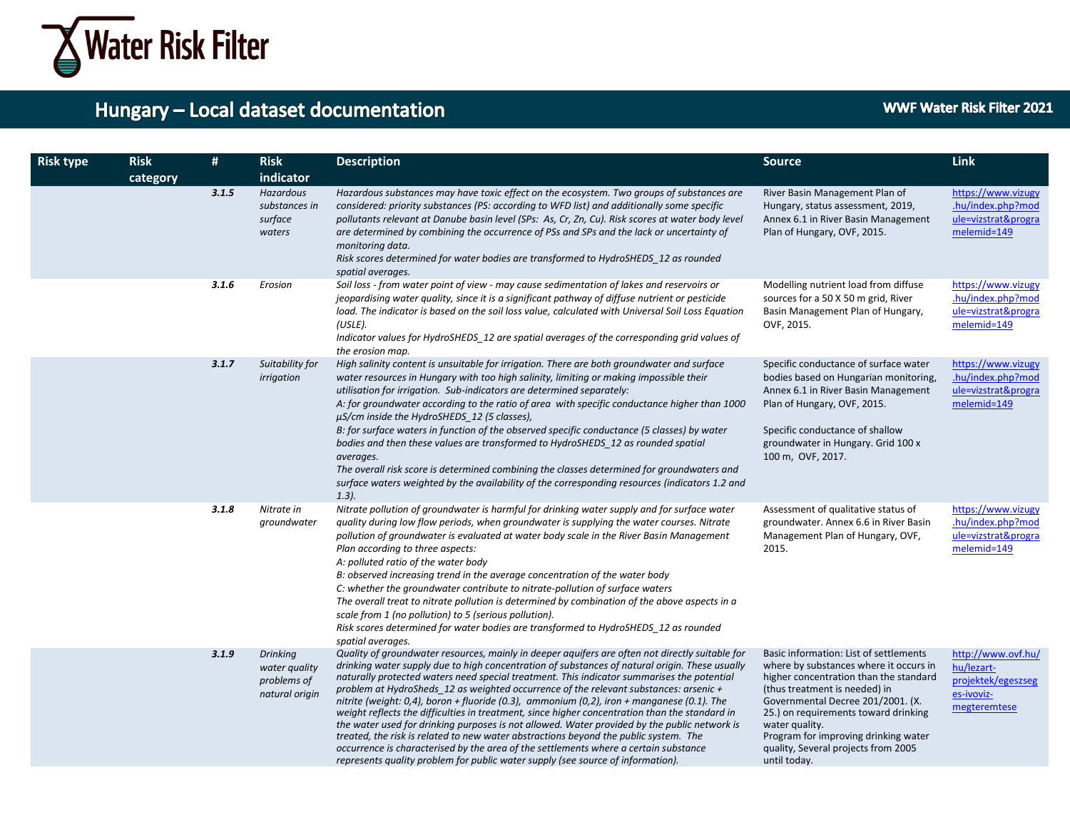

| <b>Risk type</b> | <b>Risk</b><br>category | #     | <b>Risk</b><br>indicator                                          | <b>Description</b>                                                                                                                                                                                                                                                                                                                                                                                                                                                                                                                                                                                                                                                                                                                                                                                                                                                                                                                                            | <b>Source</b>                                                                                                                                                                                                                                                                                                                                             | <b>Link</b>                                                                          |
|------------------|-------------------------|-------|-------------------------------------------------------------------|---------------------------------------------------------------------------------------------------------------------------------------------------------------------------------------------------------------------------------------------------------------------------------------------------------------------------------------------------------------------------------------------------------------------------------------------------------------------------------------------------------------------------------------------------------------------------------------------------------------------------------------------------------------------------------------------------------------------------------------------------------------------------------------------------------------------------------------------------------------------------------------------------------------------------------------------------------------|-----------------------------------------------------------------------------------------------------------------------------------------------------------------------------------------------------------------------------------------------------------------------------------------------------------------------------------------------------------|--------------------------------------------------------------------------------------|
|                  |                         | 3.1.5 | Hazardous<br>substances in<br>surface<br>waters                   | Hazardous substances may have toxic effect on the ecosystem. Two groups of substances are<br>considered: priority substances (PS: according to WFD list) and additionally some specific<br>pollutants relevant at Danube basin level (SPs: As, Cr, Zn, Cu). Risk scores at water body level<br>are determined by combining the occurrence of PSs and SPs and the lack or uncertainty of<br>monitoring data.<br>Risk scores determined for water bodies are transformed to HydroSHEDS 12 as rounded<br>spatial averages.                                                                                                                                                                                                                                                                                                                                                                                                                                       | River Basin Management Plan of<br>Hungary, status assessment, 2019,<br>Annex 6.1 in River Basin Management<br>Plan of Hungary, OVF, 2015.                                                                                                                                                                                                                 | https://www.vizugy<br>.hu/index.php?mod<br>ule=vizstrat&progra<br>melemid=149        |
|                  |                         | 3.1.6 | Erosion                                                           | Soil loss - from water point of view - may cause sedimentation of lakes and reservoirs or<br>jeopardising water quality, since it is a significant pathway of diffuse nutrient or pesticide<br>load. The indicator is based on the soil loss value, calculated with Universal Soil Loss Equation<br>(USLE).<br>Indicator values for HydroSHEDS 12 are spatial averages of the corresponding grid values of<br>the erosion map.                                                                                                                                                                                                                                                                                                                                                                                                                                                                                                                                | Modelling nutrient load from diffuse<br>sources for a 50 X 50 m grid, River<br>Basin Management Plan of Hungary,<br>OVF, 2015.                                                                                                                                                                                                                            | https://www.vizugy<br>.hu/index.php?mod<br>ule=vizstrat&progra<br>melemid=149        |
|                  |                         | 3.1.7 | Suitability for<br>irrigation                                     | High salinity content is unsuitable for irrigation. There are both groundwater and surface<br>water resources in Hungary with too high salinity, limiting or making impossible their<br>utilisation for irrigation. Sub-indicators are determined separately:<br>A: for groundwater according to the ratio of area with specific conductance higher than 1000<br>µS/cm inside the HydroSHEDS_12 (5 classes),<br>B: for surface waters in function of the observed specific conductance (5 classes) by water<br>bodies and then these values are transformed to HydroSHEDS 12 as rounded spatial<br>averages.<br>The overall risk score is determined combining the classes determined for groundwaters and<br>surface waters weighted by the availability of the corresponding resources (indicators 1.2 and<br>$1.3$ ).                                                                                                                                      | Specific conductance of surface water<br>bodies based on Hungarian monitoring,<br>Annex 6.1 in River Basin Management<br>Plan of Hungary, OVF, 2015.<br>Specific conductance of shallow<br>groundwater in Hungary. Grid 100 x<br>100 m, OVF, 2017.                                                                                                        | https://www.vizugy<br>.hu/index.php?mod<br>ule=vizstrat&progra<br>melemid=149        |
|                  |                         | 3.1.8 | Nitrate in<br>groundwater                                         | Nitrate pollution of groundwater is harmful for drinking water supply and for surface water<br>quality during low flow periods, when groundwater is supplying the water courses. Nitrate<br>pollution of groundwater is evaluated at water body scale in the River Basin Management<br>Plan according to three aspects:<br>A: polluted ratio of the water body<br>B: observed increasing trend in the average concentration of the water body<br>C: whether the groundwater contribute to nitrate-pollution of surface waters<br>The overall treat to nitrate pollution is determined by combination of the above aspects in a<br>scale from 1 (no pollution) to 5 (serious pollution).<br>Risk scores determined for water bodies are transformed to HydroSHEDS 12 as rounded<br>spatial averages.                                                                                                                                                           | Assessment of qualitative status of<br>groundwater. Annex 6.6 in River Basin<br>Management Plan of Hungary, OVF,<br>2015.                                                                                                                                                                                                                                 | https://www.vizugy<br>.hu/index.php?mod<br>ule=vizstrat&progra<br>melemid=149        |
|                  |                         | 3.1.9 | <b>Drinking</b><br>water quality<br>problems of<br>natural origin | Quality of groundwater resources, mainly in deeper aquifers are often not directly suitable for<br>drinking water supply due to high concentration of substances of natural origin. These usually<br>naturally protected waters need special treatment. This indicator summarises the potential<br>problem at HydroSheds 12 as weighted occurrence of the relevant substances: arsenic $+$<br>nitrite (weight: 0,4), boron + fluoride (0.3), ammonium (0,2), iron + manganese (0.1). The<br>weight reflects the difficulties in treatment, since higher concentration than the standard in<br>the water used for drinking purposes is not allowed. Water provided by the public network is<br>treated, the risk is related to new water abstractions beyond the public system. The<br>occurrence is characterised by the area of the settlements where a certain substance<br>represents quality problem for public water supply (see source of information). | Basic information: List of settlements<br>where by substances where it occurs in<br>higher concentration than the standard<br>(thus treatment is needed) in<br>Governmental Decree 201/2001. (X.<br>25.) on requirements toward drinking<br>water quality.<br>Program for improving drinking water<br>quality, Several projects from 2005<br>until today. | http://www.ovf.hu/<br>hu/lezart-<br>projektek/egeszseg<br>es-ivoviz-<br>megteremtese |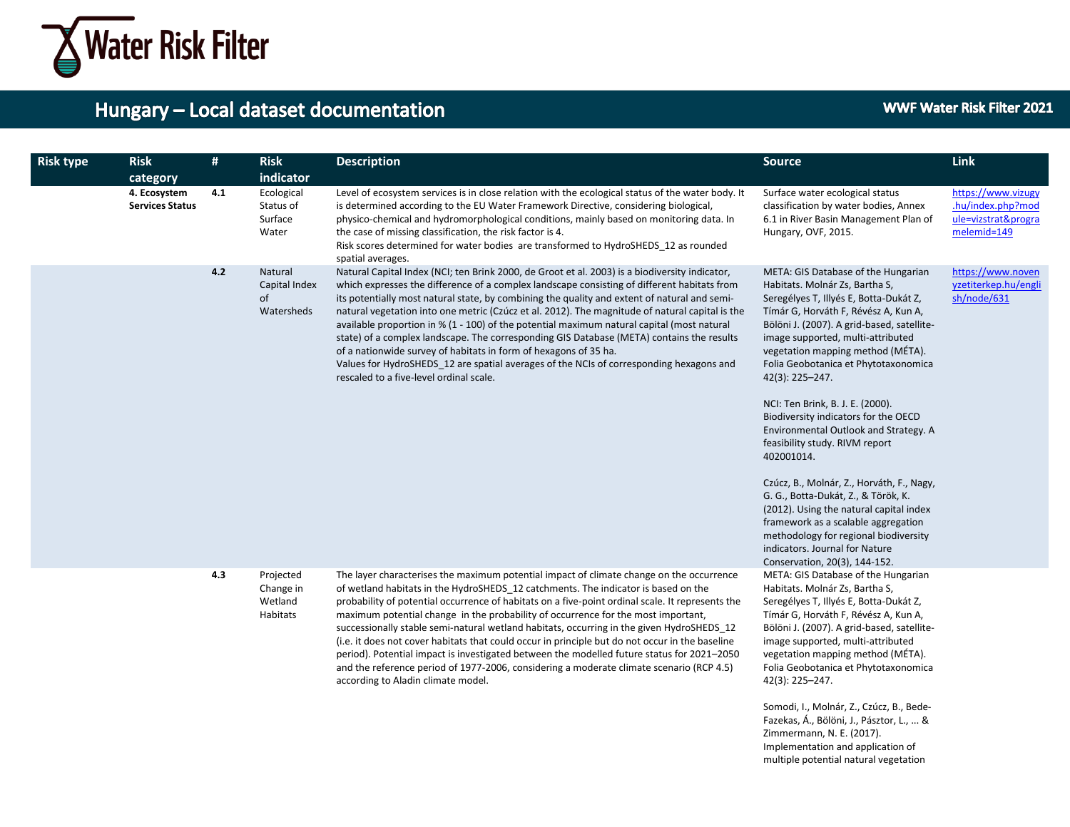

#### **WWF Water Risk Filter 2021**

Zimmermann, N. E. (2017). Implementation and application of multiple potential natural vegetation

| <b>Risk type</b> | <b>Risk</b><br>category                | $\#$ | <b>Risk</b><br>indicator                      | <b>Description</b>                                                                                                                                                                                                                                                                                                                                                                                                                                                                                                                                                                                                                                                                                                                                                                                      | <b>Source</b>                                                                                                                                                                                                                                                                                                                                                                                                                                                                                                                                                                                                                                                                                                                                                                                     | <b>Link</b>                                                                   |
|------------------|----------------------------------------|------|-----------------------------------------------|---------------------------------------------------------------------------------------------------------------------------------------------------------------------------------------------------------------------------------------------------------------------------------------------------------------------------------------------------------------------------------------------------------------------------------------------------------------------------------------------------------------------------------------------------------------------------------------------------------------------------------------------------------------------------------------------------------------------------------------------------------------------------------------------------------|---------------------------------------------------------------------------------------------------------------------------------------------------------------------------------------------------------------------------------------------------------------------------------------------------------------------------------------------------------------------------------------------------------------------------------------------------------------------------------------------------------------------------------------------------------------------------------------------------------------------------------------------------------------------------------------------------------------------------------------------------------------------------------------------------|-------------------------------------------------------------------------------|
|                  | 4. Ecosystem<br><b>Services Status</b> | 4.1  | Ecological<br>Status of<br>Surface<br>Water   | Level of ecosystem services is in close relation with the ecological status of the water body. It<br>is determined according to the EU Water Framework Directive, considering biological,<br>physico-chemical and hydromorphological conditions, mainly based on monitoring data. In<br>the case of missing classification, the risk factor is 4.<br>Risk scores determined for water bodies are transformed to HydroSHEDS 12 as rounded<br>spatial averages.                                                                                                                                                                                                                                                                                                                                           | Surface water ecological status<br>classification by water bodies, Annex<br>6.1 in River Basin Management Plan of<br>Hungary, OVF, 2015.                                                                                                                                                                                                                                                                                                                                                                                                                                                                                                                                                                                                                                                          | https://www.vizugy<br>.hu/index.php?mod<br>ule=vizstrat&progra<br>melemid=149 |
|                  |                                        | 4.2  | Natural<br>Capital Index<br>of<br>Watersheds  | Natural Capital Index (NCI; ten Brink 2000, de Groot et al. 2003) is a biodiversity indicator,<br>which expresses the difference of a complex landscape consisting of different habitats from<br>its potentially most natural state, by combining the quality and extent of natural and semi-<br>natural vegetation into one metric (Czúcz et al. 2012). The magnitude of natural capital is the<br>available proportion in % (1 - 100) of the potential maximum natural capital (most natural<br>state) of a complex landscape. The corresponding GIS Database (META) contains the results<br>of a nationwide survey of habitats in form of hexagons of 35 ha.<br>Values for HydroSHEDS 12 are spatial averages of the NCIs of corresponding hexagons and<br>rescaled to a five-level ordinal scale.   | META: GIS Database of the Hungarian<br>Habitats. Molnár Zs, Bartha S,<br>Seregélyes T, Illyés E, Botta-Dukát Z,<br>Tímár G, Horváth F, Révész A, Kun A,<br>Bölöni J. (2007). A grid-based, satellite-<br>image supported, multi-attributed<br>vegetation mapping method (MÉTA).<br>Folia Geobotanica et Phytotaxonomica<br>42(3): 225-247.<br>NCI: Ten Brink, B. J. E. (2000).<br>Biodiversity indicators for the OECD<br>Environmental Outlook and Strategy. A<br>feasibility study. RIVM report<br>402001014.<br>Czúcz, B., Molnár, Z., Horváth, F., Nagy,<br>G. G., Botta-Dukát, Z., & Török, K.<br>(2012). Using the natural capital index<br>framework as a scalable aggregation<br>methodology for regional biodiversity<br>indicators. Journal for Nature<br>Conservation, 20(3), 144-152. | https://www.noven<br>yzetiterkep.hu/engli<br>sh/node/631                      |
|                  |                                        | 4.3  | Projected<br>Change in<br>Wetland<br>Habitats | The layer characterises the maximum potential impact of climate change on the occurrence<br>of wetland habitats in the HydroSHEDS 12 catchments. The indicator is based on the<br>probability of potential occurrence of habitats on a five-point ordinal scale. It represents the<br>maximum potential change in the probability of occurrence for the most important,<br>successionally stable semi-natural wetland habitats, occurring in the given HydroSHEDS_12<br>(i.e. it does not cover habitats that could occur in principle but do not occur in the baseline<br>period). Potential impact is investigated between the modelled future status for 2021-2050<br>and the reference period of 1977-2006, considering a moderate climate scenario (RCP 4.5)<br>according to Aladin climate model. | META: GIS Database of the Hungarian<br>Habitats. Molnár Zs, Bartha S,<br>Seregélyes T, Illyés E, Botta-Dukát Z,<br>Tímár G, Horváth F, Révész A, Kun A,<br>Bölöni J. (2007). A grid-based, satellite-<br>image supported, multi-attributed<br>vegetation mapping method (MÉTA).<br>Folia Geobotanica et Phytotaxonomica<br>42(3): 225-247.<br>Somodi, I., Molnár, Z., Czúcz, B., Bede-<br>Fazekas, Á., Bölöni, J., Pásztor, L.,  &                                                                                                                                                                                                                                                                                                                                                                |                                                                               |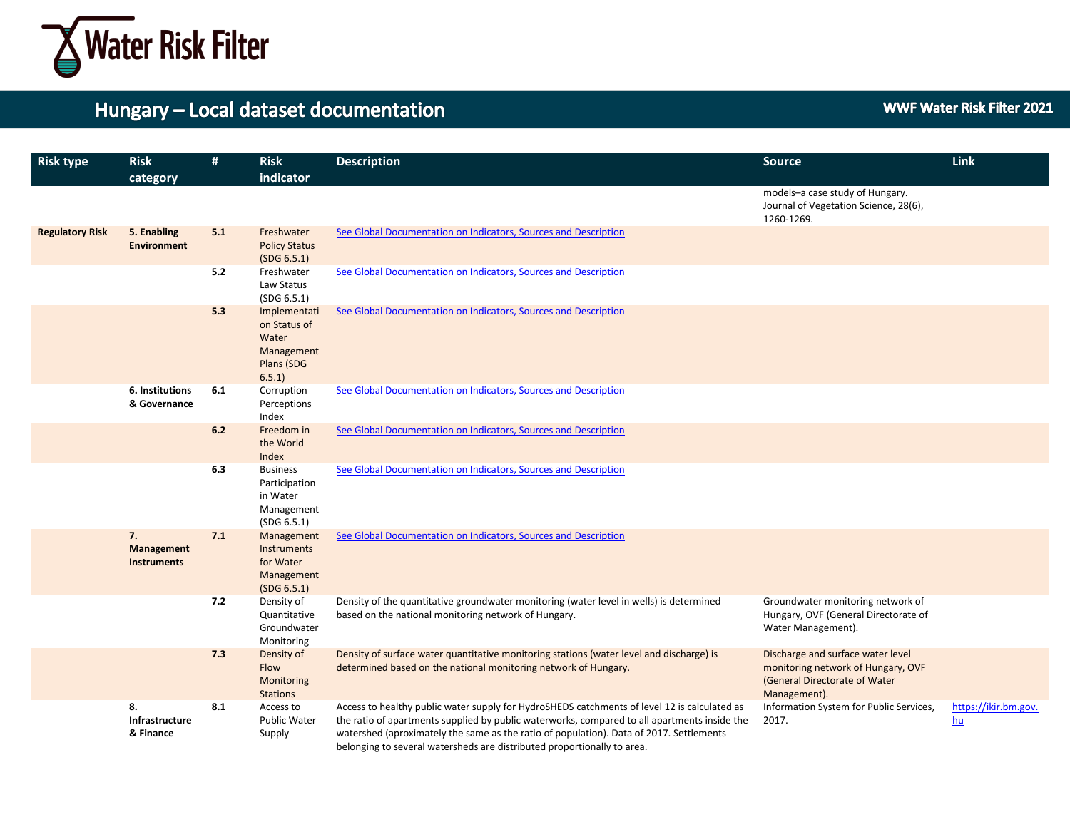

| <b>Risk type</b>       | <b>Risk</b><br>category                | #   | <b>Risk</b><br>indicator                                                   | <b>Description</b>                                                                                                                                                                                                                                                                                                                                                 | <b>Source</b>                                                                                                            | <b>Link</b>                  |
|------------------------|----------------------------------------|-----|----------------------------------------------------------------------------|--------------------------------------------------------------------------------------------------------------------------------------------------------------------------------------------------------------------------------------------------------------------------------------------------------------------------------------------------------------------|--------------------------------------------------------------------------------------------------------------------------|------------------------------|
|                        |                                        |     |                                                                            |                                                                                                                                                                                                                                                                                                                                                                    | models-a case study of Hungary.<br>Journal of Vegetation Science, 28(6),<br>1260-1269.                                   |                              |
| <b>Regulatory Risk</b> | 5. Enabling<br><b>Environment</b>      | 5.1 | Freshwater<br><b>Policy Status</b><br>(SDG 6.5.1)                          | See Global Documentation on Indicators, Sources and Description                                                                                                                                                                                                                                                                                                    |                                                                                                                          |                              |
|                        |                                        | 5.2 | Freshwater<br>Law Status<br>(SDG 6.5.1)                                    | See Global Documentation on Indicators, Sources and Description                                                                                                                                                                                                                                                                                                    |                                                                                                                          |                              |
|                        |                                        | 5.3 | Implementati<br>on Status of<br>Water<br>Management<br>Plans (SDG<br>6.5.1 | See Global Documentation on Indicators, Sources and Description                                                                                                                                                                                                                                                                                                    |                                                                                                                          |                              |
|                        | 6. Institutions<br>& Governance        | 6.1 | Corruption<br>Perceptions<br>Index                                         | See Global Documentation on Indicators, Sources and Description                                                                                                                                                                                                                                                                                                    |                                                                                                                          |                              |
|                        |                                        | 6.2 | Freedom in<br>the World<br>Index                                           | See Global Documentation on Indicators, Sources and Description                                                                                                                                                                                                                                                                                                    |                                                                                                                          |                              |
|                        |                                        | 6.3 | <b>Business</b><br>Participation<br>in Water<br>Management<br>(SDG 6.5.1)  | See Global Documentation on Indicators, Sources and Description                                                                                                                                                                                                                                                                                                    |                                                                                                                          |                              |
|                        | 7.<br>Management<br><b>Instruments</b> | 7.1 | Management<br>Instruments<br>for Water<br>Management<br>(SDG 6.5.1)        | See Global Documentation on Indicators, Sources and Description                                                                                                                                                                                                                                                                                                    |                                                                                                                          |                              |
|                        |                                        | 7.2 | Density of<br>Quantitative<br>Groundwater<br>Monitoring                    | Density of the quantitative groundwater monitoring (water level in wells) is determined<br>based on the national monitoring network of Hungary.                                                                                                                                                                                                                    | Groundwater monitoring network of<br>Hungary, OVF (General Directorate of<br>Water Management).                          |                              |
|                        |                                        | 7.3 | Density of<br>Flow<br>Monitoring<br><b>Stations</b>                        | Density of surface water quantitative monitoring stations (water level and discharge) is<br>determined based on the national monitoring network of Hungary.                                                                                                                                                                                                        | Discharge and surface water level<br>monitoring network of Hungary, OVF<br>(General Directorate of Water<br>Management). |                              |
|                        | 8.<br>Infrastructure<br>& Finance      | 8.1 | Access to<br>Public Water<br>Supply                                        | Access to healthy public water supply for HydroSHEDS catchments of level 12 is calculated as<br>the ratio of apartments supplied by public waterworks, compared to all apartments inside the<br>watershed (aproximately the same as the ratio of population). Data of 2017. Settlements<br>belonging to several watersheds are distributed proportionally to area. | Information System for Public Services,<br>2017.                                                                         | https://ikir.bm.gov.<br>$hu$ |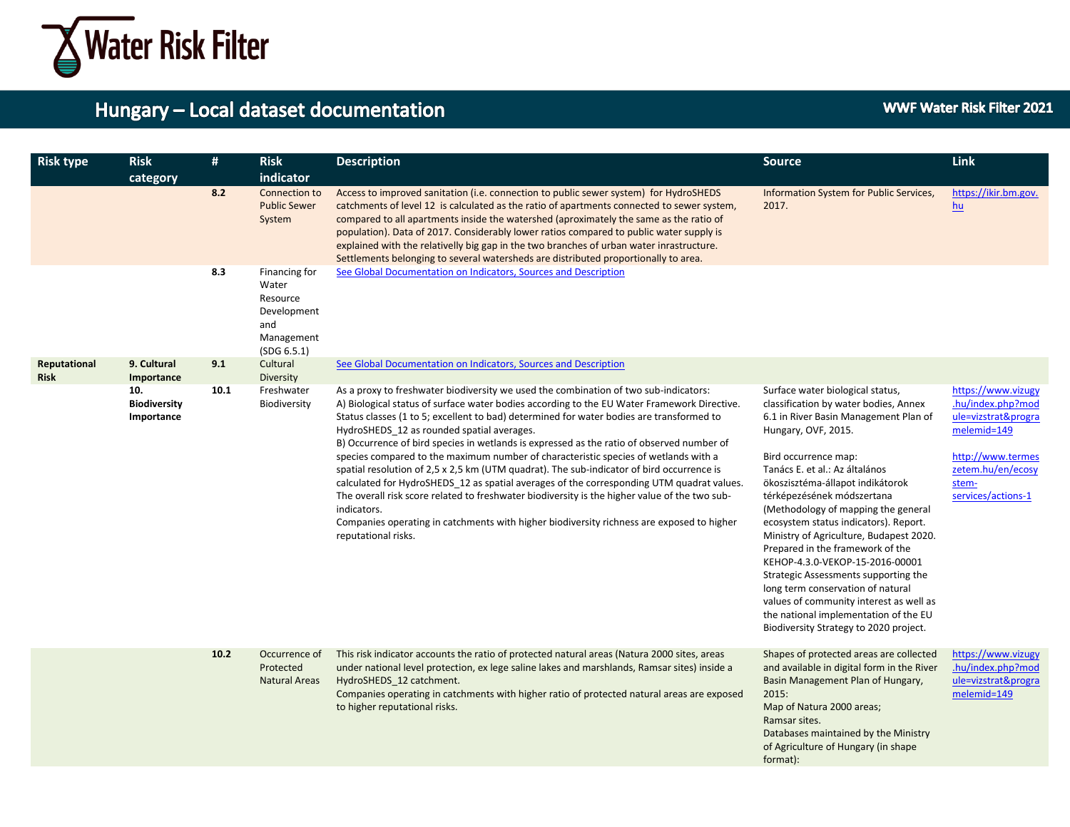

| <b>Risk type</b>            | <b>Risk</b><br>category                  | #    | <b>Risk</b><br>indicator                                                              | <b>Description</b>                                                                                                                                                                                                                                                                                                                                                                                                                                                                                                                                                                                                                                                                                                                                                                                                                                                                                                                              | <b>Source</b>                                                                                                                                                                                                                                                                                                                                                                                                                                                                                                                                                                                                                                                                      | <b>Link</b>                                                                                                                                            |
|-----------------------------|------------------------------------------|------|---------------------------------------------------------------------------------------|-------------------------------------------------------------------------------------------------------------------------------------------------------------------------------------------------------------------------------------------------------------------------------------------------------------------------------------------------------------------------------------------------------------------------------------------------------------------------------------------------------------------------------------------------------------------------------------------------------------------------------------------------------------------------------------------------------------------------------------------------------------------------------------------------------------------------------------------------------------------------------------------------------------------------------------------------|------------------------------------------------------------------------------------------------------------------------------------------------------------------------------------------------------------------------------------------------------------------------------------------------------------------------------------------------------------------------------------------------------------------------------------------------------------------------------------------------------------------------------------------------------------------------------------------------------------------------------------------------------------------------------------|--------------------------------------------------------------------------------------------------------------------------------------------------------|
|                             |                                          | 8.2  | Connection to<br><b>Public Sewer</b><br>System                                        | Access to improved sanitation (i.e. connection to public sewer system) for HydroSHEDS<br>catchments of level 12 is calculated as the ratio of apartments connected to sewer system,<br>compared to all apartments inside the watershed (aproximately the same as the ratio of<br>population). Data of 2017. Considerably lower ratios compared to public water supply is<br>explained with the relativelly big gap in the two branches of urban water inrastructure.<br>Settlements belonging to several watersheds are distributed proportionally to area.                                                                                                                                                                                                                                                                                                                                                                                     | Information System for Public Services,<br>2017.                                                                                                                                                                                                                                                                                                                                                                                                                                                                                                                                                                                                                                   | https://ikir.bm.gov.<br>$hu$                                                                                                                           |
|                             |                                          | 8.3  | Financing for<br>Water<br>Resource<br>Development<br>and<br>Management<br>(SDG 6.5.1) | See Global Documentation on Indicators, Sources and Description                                                                                                                                                                                                                                                                                                                                                                                                                                                                                                                                                                                                                                                                                                                                                                                                                                                                                 |                                                                                                                                                                                                                                                                                                                                                                                                                                                                                                                                                                                                                                                                                    |                                                                                                                                                        |
| Reputational<br><b>Risk</b> | 9. Cultural<br>Importance                | 9.1  | Cultural<br><b>Diversity</b>                                                          | See Global Documentation on Indicators, Sources and Description                                                                                                                                                                                                                                                                                                                                                                                                                                                                                                                                                                                                                                                                                                                                                                                                                                                                                 |                                                                                                                                                                                                                                                                                                                                                                                                                                                                                                                                                                                                                                                                                    |                                                                                                                                                        |
|                             | 10.<br><b>Biodiversity</b><br>Importance | 10.1 | Freshwater<br>Biodiversity                                                            | As a proxy to freshwater biodiversity we used the combination of two sub-indicators:<br>A) Biological status of surface water bodies according to the EU Water Framework Directive.<br>Status classes (1 to 5; excellent to bad) determined for water bodies are transformed to<br>HydroSHEDS_12 as rounded spatial averages.<br>B) Occurrence of bird species in wetlands is expressed as the ratio of observed number of<br>species compared to the maximum number of characteristic species of wetlands with a<br>spatial resolution of 2,5 x 2,5 km (UTM quadrat). The sub-indicator of bird occurrence is<br>calculated for HydroSHEDS_12 as spatial averages of the corresponding UTM quadrat values.<br>The overall risk score related to freshwater biodiversity is the higher value of the two sub-<br>indicators.<br>Companies operating in catchments with higher biodiversity richness are exposed to higher<br>reputational risks. | Surface water biological status,<br>classification by water bodies, Annex<br>6.1 in River Basin Management Plan of<br>Hungary, OVF, 2015.<br>Bird occurrence map:<br>Tanács E. et al.: Az általános<br>ökoszisztéma-állapot indikátorok<br>térképezésének módszertana<br>(Methodology of mapping the general<br>ecosystem status indicators). Report.<br>Ministry of Agriculture, Budapest 2020.<br>Prepared in the framework of the<br>KEHOP-4.3.0-VEKOP-15-2016-00001<br>Strategic Assessments supporting the<br>long term conservation of natural<br>values of community interest as well as<br>the national implementation of the EU<br>Biodiversity Strategy to 2020 project. | https://www.vizugy<br>.hu/index.php?mod<br>ule=vizstrat&progra<br>melemid=149<br>http://www.termes<br>zetem.hu/en/ecosy<br>stem-<br>services/actions-1 |
|                             |                                          | 10.2 | Occurrence of<br>Protected<br><b>Natural Areas</b>                                    | This risk indicator accounts the ratio of protected natural areas (Natura 2000 sites, areas<br>under national level protection, ex lege saline lakes and marshlands, Ramsar sites) inside a<br>HydroSHEDS 12 catchment.<br>Companies operating in catchments with higher ratio of protected natural areas are exposed<br>to higher reputational risks.                                                                                                                                                                                                                                                                                                                                                                                                                                                                                                                                                                                          | Shapes of protected areas are collected<br>and available in digital form in the River<br>Basin Management Plan of Hungary,<br>2015:<br>Map of Natura 2000 areas;<br>Ramsar sites.<br>Databases maintained by the Ministry<br>of Agriculture of Hungary (in shape<br>format):                                                                                                                                                                                                                                                                                                                                                                                                       | https://www.vizugy<br>.hu/index.php?mod<br>ule=vizstrat&progra<br>melemid=149                                                                          |